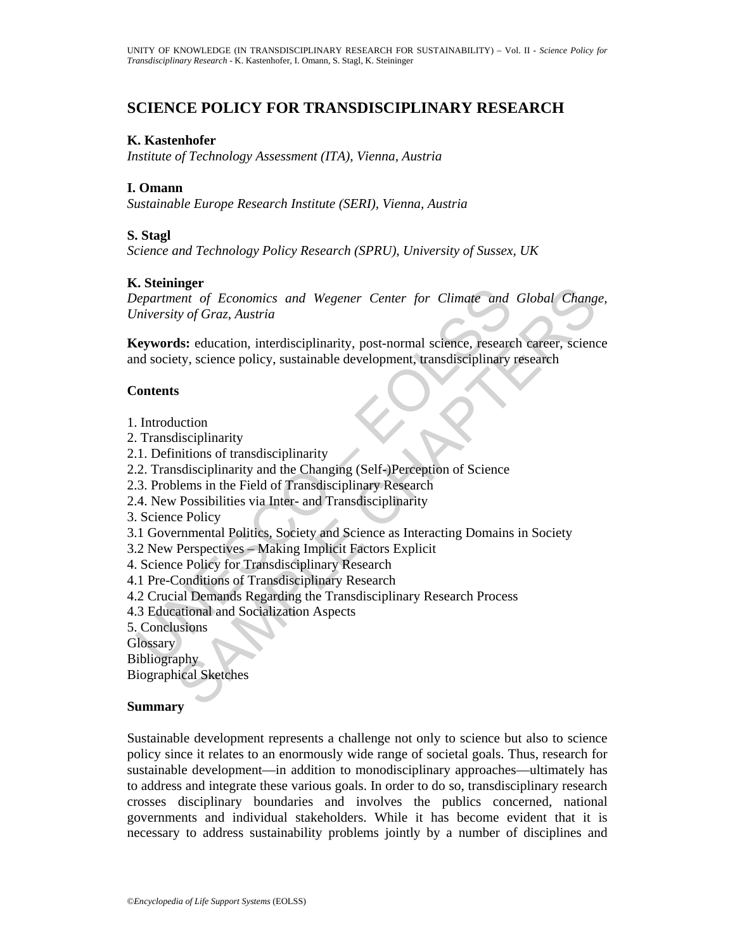# **SCIENCE POLICY FOR TRANSDISCIPLINARY RESEARCH**

#### **K. Kastenhofer**

*Institute of Technology Assessment (ITA), Vienna, Austria* 

## **I. Omann**

*Sustainable Europe Research Institute (SERI), Vienna, Austria* 

#### **S. Stagl**

*Science and Technology Policy Research (SPRU), University of Sussex, UK* 

### **K. Steininger**

Continued To Economics and Wegener Center for Climate and<br>
Department of Economics and Wegener Center for Climate and<br>
Diversity of Graz, Austria<br>
Conversity of Graz, Austria<br>
Conversity, science policy, sustainable develo ment<br>
ent of Economics and Wegener Center for Climate and Global Change<br>
then of Graz, Austria<br>
ds: education, interdisciplinarity, post-normal science, research career, scienc<br>
ety, science policy, sustainable development *Department of Economics and Wegener Center for Climate and Global Change, University of Graz, Austria* 

**Keywords:** education, interdisciplinarity, post-normal science, research career, science and society, science policy, sustainable development, transdisciplinary research

### **Contents**

- 1. Introduction
- 2. Transdisciplinarity
- 2.1. Definitions of transdisciplinarity
- 2.2. Transdisciplinarity and the Changing (Self-)Perception of Science
- 2.3. Problems in the Field of Transdisciplinary Research
- 2.4. New Possibilities via Inter- and Transdisciplinarity
- 3. Science Policy
- 3.1 Governmental Politics, Society and Science as Interacting Domains in Society
- 3.2 New Perspectives Making Implicit Factors Explicit
- 4. Science Policy for Transdisciplinary Research
- 4.1 Pre-Conditions of Transdisciplinary Research
- 4.2 Crucial Demands Regarding the Transdisciplinary Research Process
- 4.3 Educational and Socialization Aspects
- 5. Conclusions
- **Glossary**

**Bibliography** 

Biographical Sketches

#### **Summary**

Sustainable development represents a challenge not only to science but also to science policy since it relates to an enormously wide range of societal goals. Thus, research for sustainable development—in addition to monodisciplinary approaches—ultimately has to address and integrate these various goals. In order to do so, transdisciplinary research crosses disciplinary boundaries and involves the publics concerned, national governments and individual stakeholders. While it has become evident that it is necessary to address sustainability problems jointly by a number of disciplines and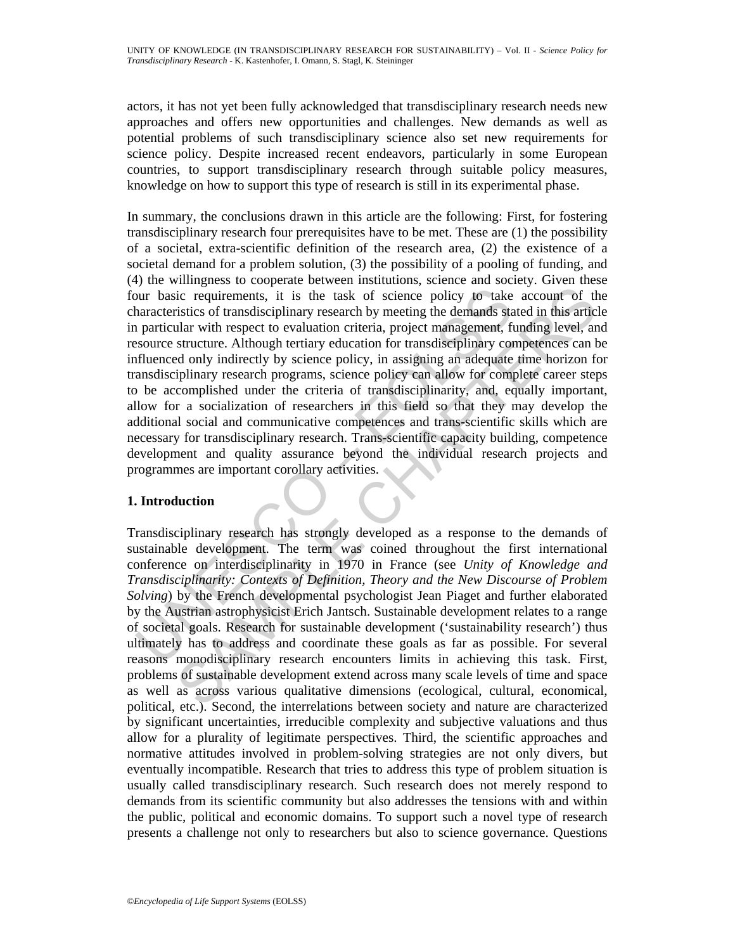actors, it has not yet been fully acknowledged that transdisciplinary research needs new approaches and offers new opportunities and challenges. New demands as well as potential problems of such transdisciplinary science also set new requirements for science policy. Despite increased recent endeavors, particularly in some European countries, to support transdisciplinary research through suitable policy measures, knowledge on how to support this type of research is still in its experimental phase.

The must be included to the transform of societies and the Ask of science policy to take<br>anacteristics of transdisciplinary research by meeting the demands state<br>anacteristics of transdisciplinary research by meeting the d Examples to react the term and content and interact and serve and server of the model and the translicity in the task of science policy to take account of this article structure. Although textiary elearath or transdissipl In summary, the conclusions drawn in this article are the following: First, for fostering transdisciplinary research four prerequisites have to be met. These are (1) the possibility of a societal, extra-scientific definition of the research area, (2) the existence of a societal demand for a problem solution, (3) the possibility of a pooling of funding, and (4) the willingness to cooperate between institutions, science and society. Given these four basic requirements, it is the task of science policy to take account of the characteristics of transdisciplinary research by meeting the demands stated in this article in particular with respect to evaluation criteria, project management, funding level, and resource structure. Although tertiary education for transdisciplinary competences can be influenced only indirectly by science policy, in assigning an adequate time horizon for transdisciplinary research programs, science policy can allow for complete career steps to be accomplished under the criteria of transdisciplinarity, and, equally important, allow for a socialization of researchers in this field so that they may develop the additional social and communicative competences and trans-scientific skills which are necessary for transdisciplinary research. Trans-scientific capacity building, competence development and quality assurance beyond the individual research projects and programmes are important corollary activities.

## **1. Introduction**

Transdisciplinary research has strongly developed as a response to the demands of sustainable development. The term was coined throughout the first international conference on interdisciplinarity in 1970 in France (see *Unity of Knowledge and Transdisciplinarity: Contexts of Definition, Theory and the New Discourse of Problem Solving*) by the French developmental psychologist Jean Piaget and further elaborated by the Austrian astrophysicist Erich Jantsch. Sustainable development relates to a range of societal goals. Research for sustainable development ('sustainability research') thus ultimately has to address and coordinate these goals as far as possible. For several reasons monodisciplinary research encounters limits in achieving this task. First, problems of sustainable development extend across many scale levels of time and space as well as across various qualitative dimensions (ecological, cultural, economical, political, etc.). Second, the interrelations between society and nature are characterized by significant uncertainties, irreducible complexity and subjective valuations and thus allow for a plurality of legitimate perspectives. Third, the scientific approaches and normative attitudes involved in problem-solving strategies are not only divers, but eventually incompatible. Research that tries to address this type of problem situation is usually called transdisciplinary research. Such research does not merely respond to demands from its scientific community but also addresses the tensions with and within the public, political and economic domains. To support such a novel type of research presents a challenge not only to researchers but also to science governance. Questions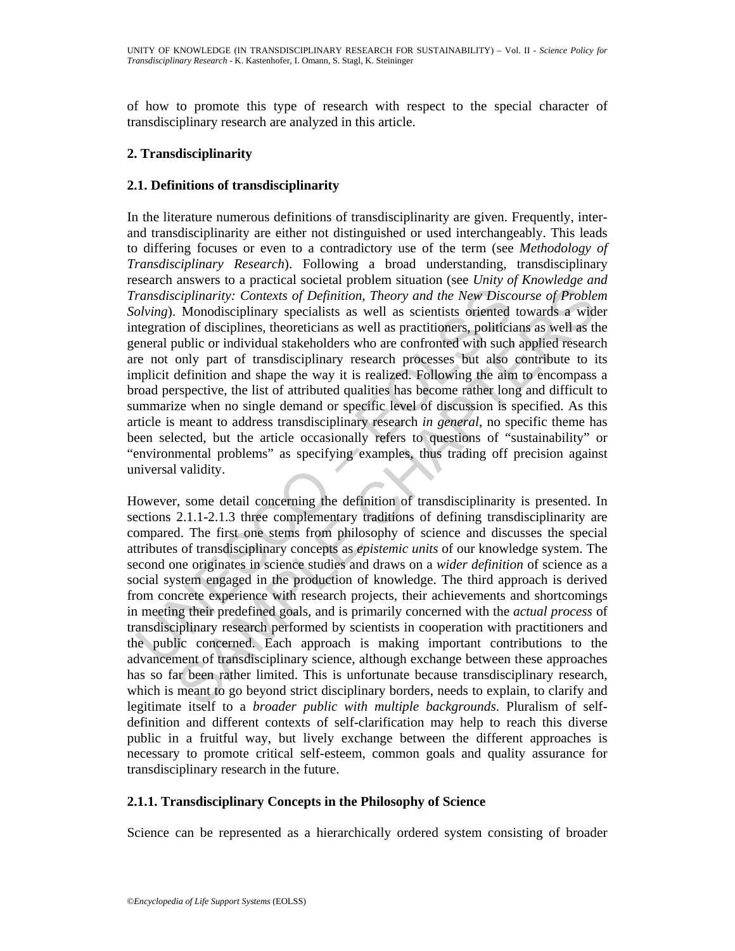of how to promote this type of research with respect to the special character of transdisciplinary research are analyzed in this article.

## **2. Transdisciplinarity**

## **2.1. Definitions of transdisciplinarity**

*ransdisciplinarity: Contexts of Definition, Theory and the New Discolving).* Monodisciplinary specialists as well as scientists oriented tegration of disciplines, theoreticians as well as practitioners, politicial erancer In the literature numerous definitions of transdisciplinarity are given. Frequently, interand transdisciplinarity are either not distinguished or used interchangeably. This leads to differing focuses or even to a contradictory use of the term (see *Methodology of Transdisciplinary Research*). Following a broad understanding, transdisciplinary research answers to a practical societal problem situation (see *Unity of Knowledge and Transdisciplinarity: Contexts of Definition, Theory and the New Discourse of Problem Solving*). Monodisciplinary specialists as well as scientists oriented towards a wider integration of disciplines, theoreticians as well as practitioners, politicians as well as the general public or individual stakeholders who are confronted with such applied research are not only part of transdisciplinary research processes but also contribute to its implicit definition and shape the way it is realized. Following the aim to encompass a broad perspective, the list of attributed qualities has become rather long and difficult to summarize when no single demand or specific level of discussion is specified. As this article is meant to address transdisciplinary research *in general*, no specific theme has been selected, but the article occasionally refers to questions of "sustainability" or "environmental problems" as specifying examples, thus trading off precision against universal validity.

and the content and the content and the content and the content of the content of the content of the content of the and the New Discourse of Problem Monodisciplinary specialists as well as scientists oriented towards a wid However, some detail concerning the definition of transdisciplinarity is presented. In sections 2.1.1-2.1.3 three complementary traditions of defining transdisciplinarity are compared. The first one stems from philosophy of science and discusses the special attributes of transdisciplinary concepts as *epistemic units* of our knowledge system. The second one originates in science studies and draws on a *wider definition* of science as a social system engaged in the production of knowledge. The third approach is derived from concrete experience with research projects, their achievements and shortcomings in meeting their predefined goals, and is primarily concerned with the *actual process* of transdisciplinary research performed by scientists in cooperation with practitioners and the public concerned. Each approach is making important contributions to the advancement of transdisciplinary science, although exchange between these approaches has so far been rather limited. This is unfortunate because transdisciplinary research, which is meant to go beyond strict disciplinary borders, needs to explain, to clarify and legitimate itself to a *broader public with multiple backgrounds*. Pluralism of selfdefinition and different contexts of self-clarification may help to reach this diverse public in a fruitful way, but lively exchange between the different approaches is necessary to promote critical self-esteem, common goals and quality assurance for transdisciplinary research in the future.

## **2.1.1. Transdisciplinary Concepts in the Philosophy of Science**

Science can be represented as a hierarchically ordered system consisting of broader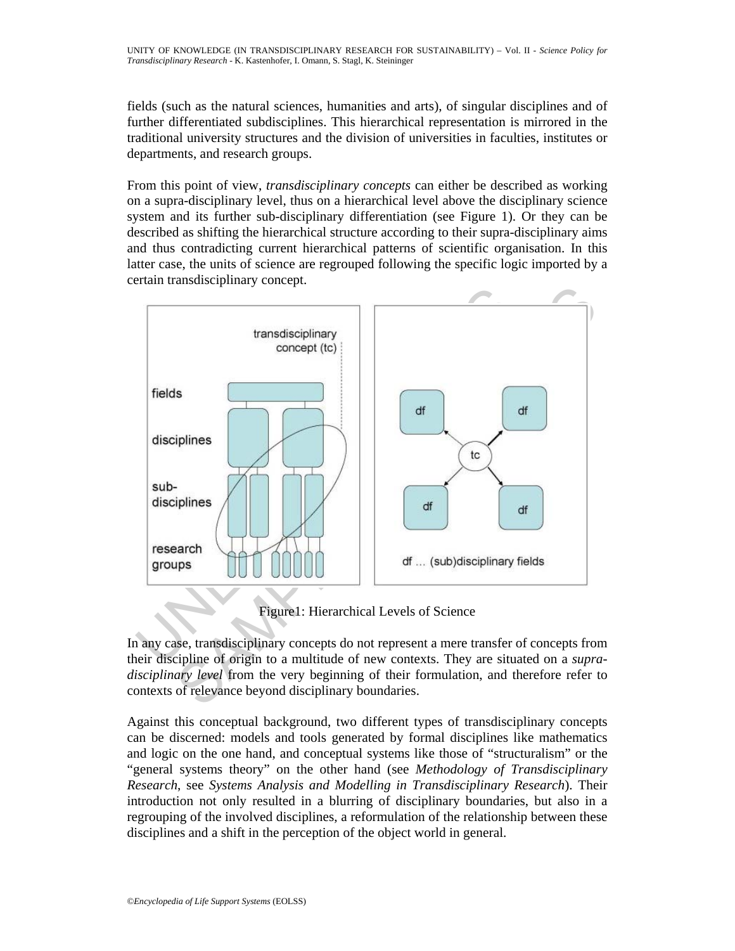fields (such as the natural sciences, humanities and arts), of singular disciplines and of further differentiated subdisciplines. This hierarchical representation is mirrored in the traditional university structures and the division of universities in faculties, institutes or departments, and research groups.

From this point of view, *transdisciplinary concepts* can either be described as working on a supra-disciplinary level, thus on a hierarchical level above the disciplinary science system and its further sub-disciplinary differentiation (see Figure 1). Or they can be described as shifting the hierarchical structure according to their supra-disciplinary aims and thus contradicting current hierarchical patterns of scientific organisation. In this latter case, the units of science are regrouped following the specific logic imported by a certain transdisciplinary concept.



Figure1: Hierarchical Levels of Science

In any case, transdisciplinary concepts do not represent a mere transfer of concepts from their discipline of origin to a multitude of new contexts. They are situated on a *supradisciplinary level* from the very beginning of their formulation, and therefore refer to contexts of relevance beyond disciplinary boundaries.

Against this conceptual background, two different types of transdisciplinary concepts can be discerned: models and tools generated by formal disciplines like mathematics and logic on the one hand, and conceptual systems like those of "structuralism" or the "general systems theory" on the other hand (see *Methodology of Transdisciplinary Research*, see *Systems Analysis and Modelling in Transdisciplinary Research*). Their introduction not only resulted in a blurring of disciplinary boundaries, but also in a regrouping of the involved disciplines, a reformulation of the relationship between these disciplines and a shift in the perception of the object world in general.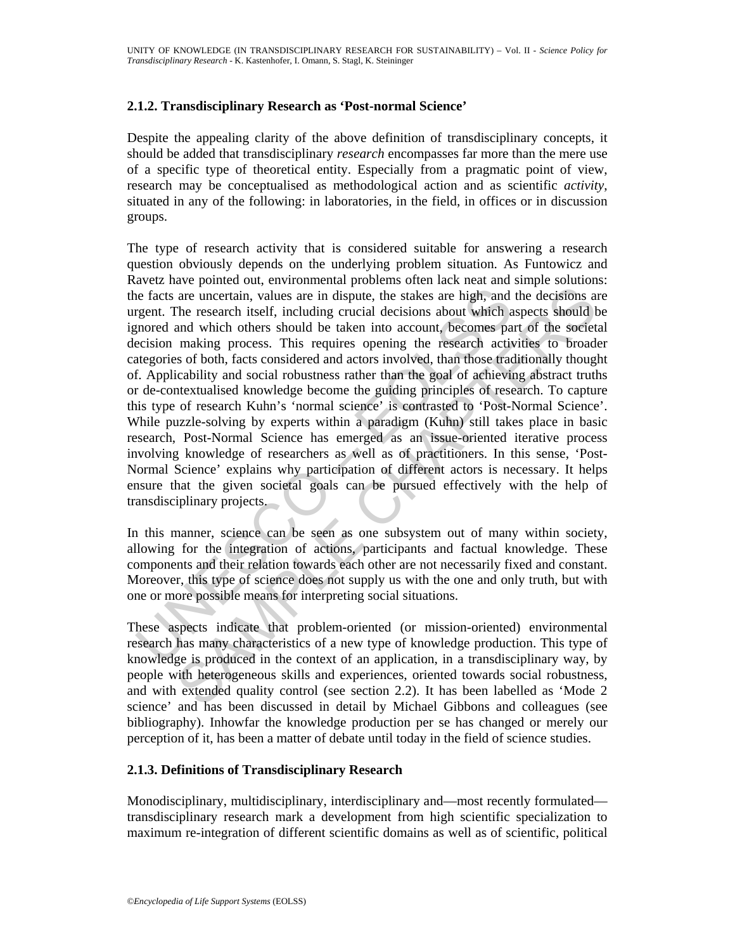## **2.1.2. Transdisciplinary Research as 'Post-normal Science'**

Despite the appealing clarity of the above definition of transdisciplinary concepts, it should be added that transdisciplinary *research* encompasses far more than the mere use of a specific type of theoretical entity. Especially from a pragmatic point of view, research may be conceptualised as methodological action and as scientific *activity*, situated in any of the following: in laboratories, in the field, in offices or in discussion groups.

ie facts are uncertain, values are in dispute, the stakes are high, and<br>rgent. The research itself, including crucial decisions about which a<br>grent. The research itself, including crucial decisions about which a<br>increase a are uncertain, values are in dispute, the stakes are high, and the decisions and the recentral in values are in dispute, the stakes are high, and the decisions and which absent into account, becomes part of the sofects sho The type of research activity that is considered suitable for answering a research question obviously depends on the underlying problem situation. As Funtowicz and Ravetz have pointed out, environmental problems often lack neat and simple solutions: the facts are uncertain, values are in dispute, the stakes are high, and the decisions are urgent. The research itself, including crucial decisions about which aspects should be ignored and which others should be taken into account, becomes part of the societal decision making process. This requires opening the research activities to broader categories of both, facts considered and actors involved, than those traditionally thought of. Applicability and social robustness rather than the goal of achieving abstract truths or de-contextualised knowledge become the guiding principles of research. To capture this type of research Kuhn's 'normal science' is contrasted to 'Post-Normal Science'. While puzzle-solving by experts within a paradigm (Kuhn) still takes place in basic research, Post-Normal Science has emerged as an issue-oriented iterative process involving knowledge of researchers as well as of practitioners. In this sense, 'Post-Normal Science' explains why participation of different actors is necessary. It helps ensure that the given societal goals can be pursued effectively with the help of transdisciplinary projects.

In this manner, science can be seen as one subsystem out of many within society, allowing for the integration of actions, participants and factual knowledge. These components and their relation towards each other are not necessarily fixed and constant. Moreover, this type of science does not supply us with the one and only truth, but with one or more possible means for interpreting social situations.

These aspects indicate that problem-oriented (or mission-oriented) environmental research has many characteristics of a new type of knowledge production. This type of knowledge is produced in the context of an application, in a transdisciplinary way, by people with heterogeneous skills and experiences, oriented towards social robustness, and with extended quality control (see section 2.2). It has been labelled as 'Mode 2 science' and has been discussed in detail by Michael Gibbons and colleagues (see bibliography). Inhowfar the knowledge production per se has changed or merely our perception of it, has been a matter of debate until today in the field of science studies.

## **2.1.3. Definitions of Transdisciplinary Research**

Monodisciplinary, multidisciplinary, interdisciplinary and—most recently formulated transdisciplinary research mark a development from high scientific specialization to maximum re-integration of different scientific domains as well as of scientific, political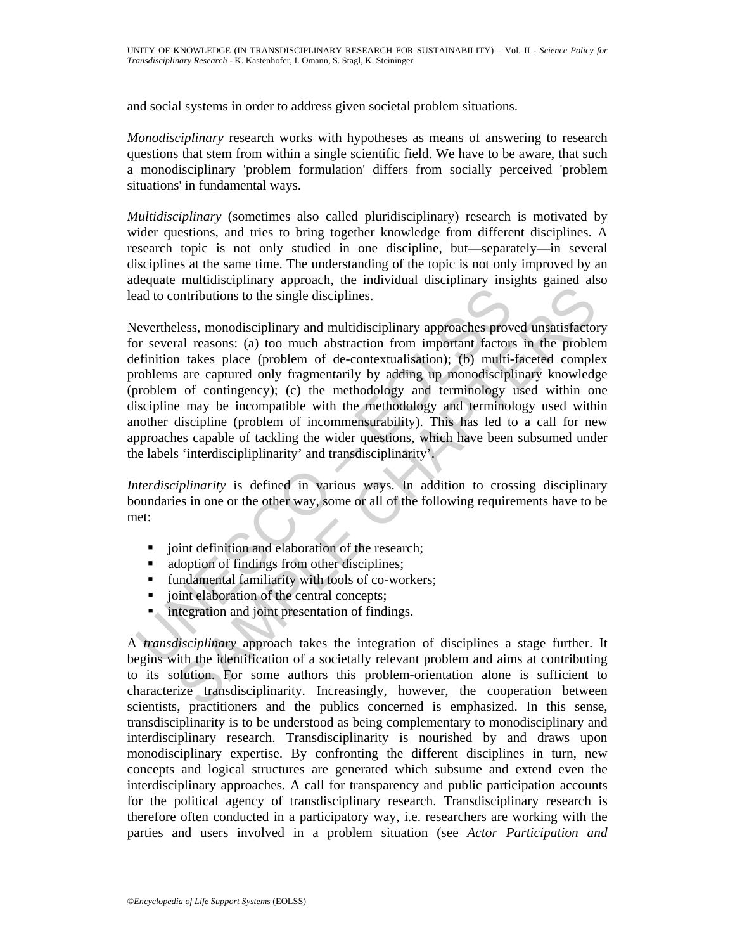and social systems in order to address given societal problem situations.

*Monodisciplinary* research works with hypotheses as means of answering to research questions that stem from within a single scientific field. We have to be aware, that such a monodisciplinary 'problem formulation' differs from socially perceived 'problem situations' in fundamental ways.

*Multidisciplinary* (sometimes also called pluridisciplinary) research is motivated by wider questions, and tries to bring together knowledge from different disciplines. A research topic is not only studied in one discipline, but—separately—in several disciplines at the same time. The understanding of the topic is not only improved by an adequate multidisciplinary approach, the individual disciplinary insights gained also lead to contributions to the single disciplines.

and to contributions to the single disciplines.<br>
(evertheless, monodisciplinary and multidisciplinary approaches prov<br>
or several reasons: (a) too much abstraction from important factors<br>
efinition takes place (problem of Interior and particular metallical control and the computation of the simple disciplines.<br>
Intributions to the single disciplines.<br>
Eless, monodisciplinary and multidisciplinary approaches proved unsatisfactor<br>
ral reasons Nevertheless, monodisciplinary and multidisciplinary approaches proved unsatisfactory for several reasons: (a) too much abstraction from important factors in the problem definition takes place (problem of de-contextualisation); (b) multi-faceted complex problems are captured only fragmentarily by adding up monodisciplinary knowledge (problem of contingency); (c) the methodology and terminology used within one discipline may be incompatible with the methodology and terminology used within another discipline (problem of incommensurability). This has led to a call for new approaches capable of tackling the wider questions, which have been subsumed under the labels 'interdiscipliplinarity' and transdisciplinarity'.

*Interdisciplinarity* is defined in various ways. In addition to crossing disciplinary boundaries in one or the other way, some or all of the following requirements have to be met:

- ioint definition and elaboration of the research;
- adoption of findings from other disciplines;
- fundamental familiarity with tools of co-workers;
- joint elaboration of the central concepts;
- **•** integration and joint presentation of findings.

A *transdisciplinary* approach takes the integration of disciplines a stage further. It begins with the identification of a societally relevant problem and aims at contributing to its solution. For some authors this problem-orientation alone is sufficient to characterize transdisciplinarity. Increasingly, however, the cooperation between scientists, practitioners and the publics concerned is emphasized. In this sense, transdisciplinarity is to be understood as being complementary to monodisciplinary and interdisciplinary research. Transdisciplinarity is nourished by and draws upon monodisciplinary expertise. By confronting the different disciplines in turn, new concepts and logical structures are generated which subsume and extend even the interdisciplinary approaches. A call for transparency and public participation accounts for the political agency of transdisciplinary research. Transdisciplinary research is therefore often conducted in a participatory way, i.e. researchers are working with the parties and users involved in a problem situation (see *Actor Participation and*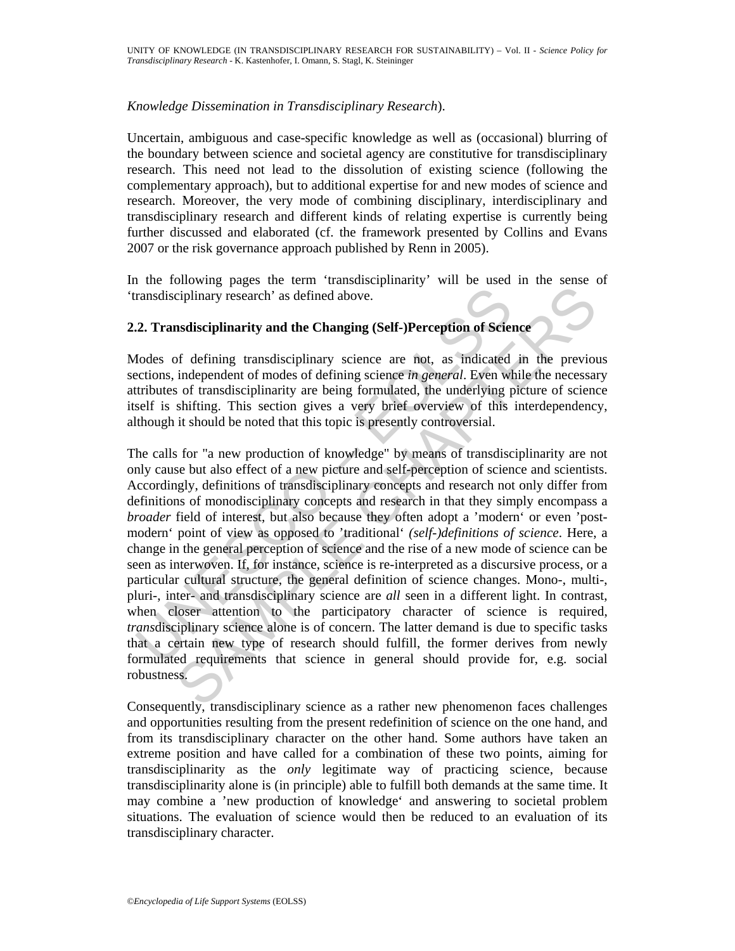### *Knowledge Dissemination in Transdisciplinary Research*).

Uncertain, ambiguous and case-specific knowledge as well as (occasional) blurring of the boundary between science and societal agency are constitutive for transdisciplinary research. This need not lead to the dissolution of existing science (following the complementary approach), but to additional expertise for and new modes of science and research. Moreover, the very mode of combining disciplinary, interdisciplinary and transdisciplinary research and different kinds of relating expertise is currently being further discussed and elaborated (cf. the framework presented by Collins and Evans 2007 or the risk governance approach published by Renn in 2005).

In the following pages the term 'transdisciplinarity' will be used in the sense of 'transdisciplinary research' as defined above.

### **2.2. Transdisciplinarity and the Changing (Self-)Perception of Science**

Modes of defining transdisciplinary science are not, as indicated in the previous sections, independent of modes of defining science *in general*. Even while the necessary attributes of transdisciplinarity are being formulated, the underlying picture of science itself is shifting. This section gives a very brief overview of this interdependency, although it should be noted that this topic is presently controversial.

ransdisciplinary research' as defined above.<br>
2. Transdisciplinarity and the Changing (Self-)Perception of Science and states and the Changing (Self-)Perception of Science and totals of defining transdisciplinarity are be Evaluation process that can be seen that the properties of the production<br>evaluation process of transdisciplinary science are not, as indicated in the previous<br>discriplinary research 'as defined above.<br>In the pendent of m The calls for "a new production of knowledge" by means of transdisciplinarity are not only cause but also effect of a new picture and self-perception of science and scientists. Accordingly, definitions of transdisciplinary concepts and research not only differ from definitions of monodisciplinary concepts and research in that they simply encompass a *broader* field of interest, but also because they often adopt a 'modern' or even 'postmodern' point of view as opposed to 'traditional' *(self-)definitions of science*. Here, a change in the general perception of science and the rise of a new mode of science can be seen as interwoven. If, for instance, science is re-interpreted as a discursive process, or a particular cultural structure, the general definition of science changes. Mono-, multi-, pluri-, inter- and transdisciplinary science are *all* seen in a different light. In contrast, when closer attention to the participatory character of science is required, *trans*disciplinary science alone is of concern. The latter demand is due to specific tasks that a certain new type of research should fulfill, the former derives from newly formulated requirements that science in general should provide for, e.g. social robustness.

Consequently, transdisciplinary science as a rather new phenomenon faces challenges and opportunities resulting from the present redefinition of science on the one hand, and from its transdisciplinary character on the other hand. Some authors have taken an extreme position and have called for a combination of these two points, aiming for transdisciplinarity as the *only* legitimate way of practicing science, because transdisciplinarity alone is (in principle) able to fulfill both demands at the same time. It may combine a 'new production of knowledge' and answering to societal problem situations. The evaluation of science would then be reduced to an evaluation of its transdisciplinary character.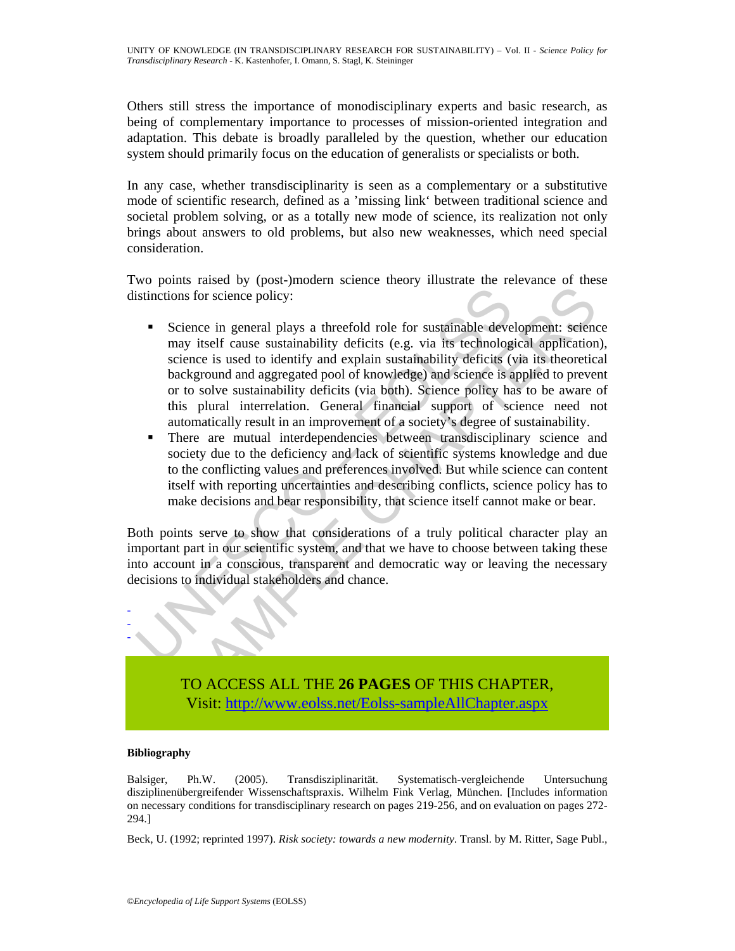Others still stress the importance of monodisciplinary experts and basic research, as being of complementary importance to processes of mission-oriented integration and adaptation. This debate is broadly paralleled by the question, whether our education system should primarily focus on the education of generalists or specialists or both.

In any case, whether transdisciplinarity is seen as a complementary or a substitutive mode of scientific research, defined as a 'missing link' between traditional science and societal problem solving, or as a totally new mode of science, its realization not only brings about answers to old problems, but also new weaknesses, which need special consideration.

Two points raised by (post-)modern science theory illustrate the relevance of these distinctions for science policy:

- **Solution** Solutions for science policy:<br> **Example 18** Solutions for science policy:<br> **Example 18** American plays a threefold role for sustainable deve may itself cause sustainability deficits (e.g. via its technolog scien ma cause of visital states and the constrained and states of the constrained in the form of the constrained in the form in the form of the cause state in the detail of the cause state in the other is used to identify and e Science in general plays a threefold role for sustainable development: science may itself cause sustainability deficits (e.g. via its technological application), science is used to identify and explain sustainability deficits (via its theoretical background and aggregated pool of knowledge) and science is applied to prevent or to solve sustainability deficits (via both). Science policy has to be aware of this plural interrelation. General financial support of science need not automatically result in an improvement of a society's degree of sustainability.
	- There are mutual interdependencies between transdisciplinary science and society due to the deficiency and lack of scientific systems knowledge and due to the conflicting values and preferences involved. But while science can content itself with reporting uncertainties and describing conflicts, science policy has to make decisions and bear responsibility, that science itself cannot make or bear.

Both points serve to show that considerations of a truly political character play an important part in our scientific system, and that we have to choose between taking these into account in a conscious, transparent and democratic way or leaving the necessary decisions to individual stakeholders and chance.



TO ACCESS ALL THE **26 PAGES** OF THIS CHAPTER, Visit: http://www.eolss.net/Eolss-sampleAllChapter.aspx

#### **Bibliography**

Balsiger, Ph.W. (2005). Transdisziplinarität. Systematisch-vergleichende Untersuchung disziplinenübergreifender Wissenschaftspraxis. Wilhelm Fink Verlag, München. [Includes information on necessary conditions for transdisciplinary research on pages 219-256, and on evaluation on pages 272- 294.]

Beck, U. (1992; reprinted 1997). *Risk society: towards a new modernity*. Transl. by M. Ritter, Sage Publ.,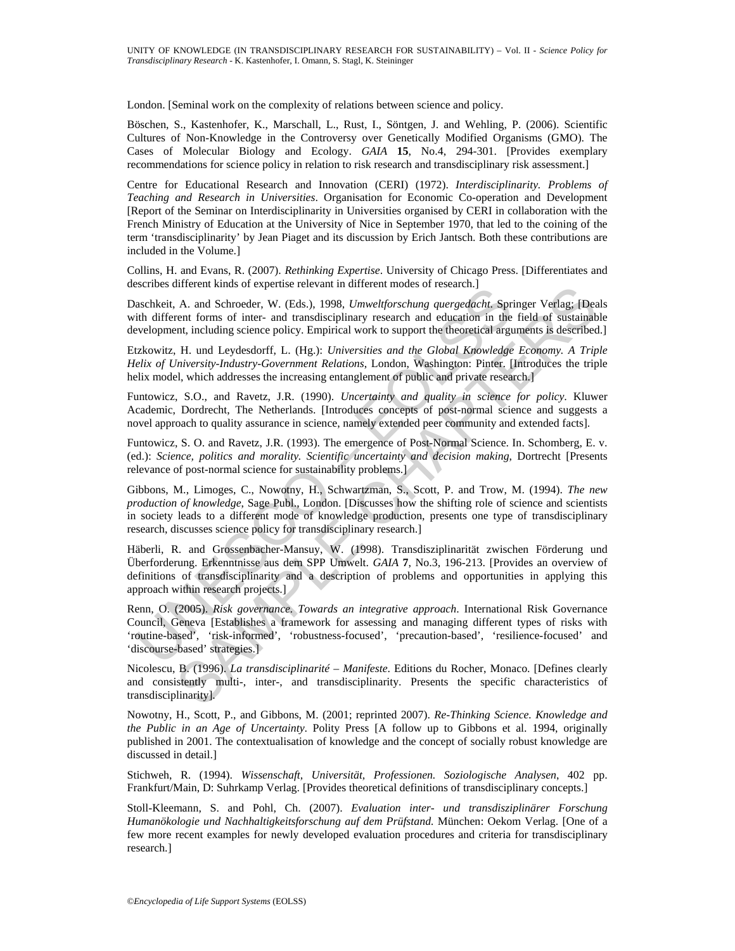London. [Seminal work on the complexity of relations between science and policy.

Böschen, S., Kastenhofer, K., Marschall, L., Rust, I., Söntgen, J. and Wehling, P. (2006). Scientific Cultures of Non-Knowledge in the Controversy over Genetically Modified Organisms (GMO). The Cases of Molecular Biology and Ecology. *GAIA* **15**, No.4, 294-301. [Provides exemplary recommendations for science policy in relation to risk research and transdisciplinary risk assessment.]

Centre for Educational Research and Innovation (CERI) (1972). *Interdisciplinarity. Problems of Teaching and Research in Universities*. Organisation for Economic Co-operation and Development [Report of the Seminar on Interdisciplinarity in Universities organised by CERI in collaboration with the French Ministry of Education at the University of Nice in September 1970, that led to the coining of the term 'transdisciplinarity' by Jean Piaget and its discussion by Erich Jantsch. Both these contributions are included in the Volume.]

Collins, H. and Evans, R. (2007). *Rethinking Expertise*. University of Chicago Press. [Differentiates and describes different kinds of expertise relevant in different modes of research.]

Daschkeit, A. and Schroeder, W. (Eds.), 1998, *Umweltforschung quergedacht*. Springer Verlag; [Deals with different forms of inter- and transdisciplinary research and education in the field of sustainable development, including science policy. Empirical work to support the theoretical arguments is described.]

Etzkowitz, H. und Leydesdorff, L. (Hg.): *Universities and the Global Knowledge Economy. A Triple Helix of University-Industry-Government Relations*, London, Washington: Pinter. [Introduces the triple helix model, which addresses the increasing entanglement of public and private research.]

Funtowicz, S.O., and Ravetz, J.R. (1990). *Uncertainty and quality in science for policy*. Kluwer Academic, Dordrecht, The Netherlands. [Introduces concepts of post-normal science and suggests a novel approach to quality assurance in science, namely extended peer community and extended facts].

Funtowicz, S. O. and Ravetz, J.R. (1993). The emergence of Post-Normal Science. In. Schomberg, E. v. (ed.): *Science, politics and morality. Scientific uncertainty and decision making*, Dortrecht [Presents relevance of post-normal science for sustainability problems.]

Gibbons, M., Limoges, C., Nowotny, H., Schwartzman, S., Scott, P. and Trow, M. (1994). *The new production of knowledge*, Sage Publ., London. [Discusses how the shifting role of science and scientists in society leads to a different mode of knowledge production, presents one type of transdisciplinary research, discusses science policy for transdisciplinary research.]

serines unterent knnss or expense teevant in unterent modes or research,<br>aschbeit, A. and Schroeder, W. (Eds.), 1998, Umweltforschung quergedacht, Sprish<br>tith different forms of inter- and transdisciplinary research and ed Interent is and Scheen et evant in unterent modes of research.<br>
A. an Scheender, W. (Eds.), 1998, Umwettforcelung quergedacht, Springer Verlag; [Deann Toms of inter- and transdisciplinary research and education in the fiel Häberli, R. and Grossenbacher-Mansuy, W. (1998). Transdisziplinarität zwischen Förderung und Überforderung. Erkenntnisse aus dem SPP Umwelt. *GAIA* **7**, No.3, 196-213. [Provides an overview of definitions of transdisciplinarity and a description of problems and opportunities in applying this approach within research projects.]

Renn, O. (2005). *Risk governance. Towards an integrative approach*. International Risk Governance Council, Geneva [Establishes a framework for assessing and managing different types of risks with 'routine-based', 'risk-informed', 'robustness-focused', 'precaution-based', 'resilience-focused' and 'discourse-based' strategies.]

Nicolescu, B. (1996). *La transdisciplinarité – Manifeste*. Editions du Rocher, Monaco. [Defines clearly and consistently multi-, inter-, and transdisciplinarity. Presents the specific characteristics of transdisciplinarity].

Nowotny, H., Scott, P., and Gibbons, M. (2001; reprinted 2007). *Re-Thinking Science. Knowledge and the Public in an Age of Uncertainty*. Polity Press [A follow up to Gibbons et al. 1994, originally published in 2001. The contextualisation of knowledge and the concept of socially robust knowledge are discussed in detail.]

Stichweh, R. (1994). *Wissenschaft, Universität, Professionen. Soziologische Analysen*, 402 pp. Frankfurt/Main, D: Suhrkamp Verlag. [Provides theoretical definitions of transdisciplinary concepts.]

Stoll-Kleemann, S. and Pohl, Ch. (2007). *Evaluation inter- und transdisziplinärer Forschung Humanökologie und Nachhaltigkeitsforschung auf dem Prüfstand.* München: Oekom Verlag. [One of a few more recent examples for newly developed evaluation procedures and criteria for transdisciplinary research.]